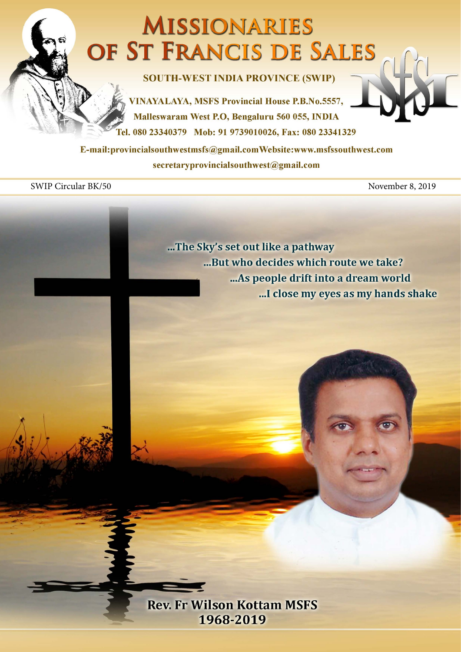## **MISSIONARIES** OF ST FRANCIS DE SALES

**SOUTH-WEST INDIA PROVINCE (SWIP)** 

**VINAYALAYA, MSFS Provincial House P.B.No.5557,** Malleswaram West P.O. Bengaluru 560 055, INDIA Fel. 080 23340379 Mob: 91 9739010026, Fax: 080 23341329

E-mail:provincialsouthwestmsfs@gmail.comWebsite:www.msfssouthwest.com secretaryprovincialsouthwest@gmail.com

SWIP Circular BK/50 November 8, 2019

...The Sky's set out like a pathway ...But who decides which route we take? ... As people drift into a dream world ...I close my eyes as my hands shake

**Rev. Fr Wilson Kottam MSFS** 1968-2019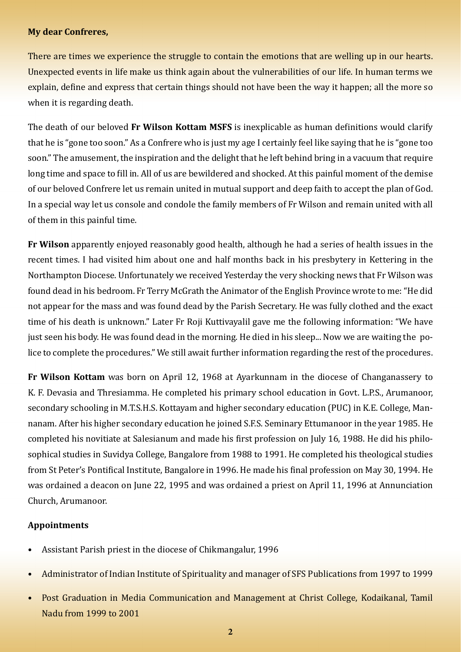## **My dear Confreres,**

There are times we experience the struggle to contain the emotions that are welling up in our hearts. Unexpected events in life make us think again about the vulnerabilities of our life. In human terms we explain, define and express that certain things should not have been the way it happen; all the more so when it is regarding death.

The death of our beloved **Fr Wilson Kottam MSFS** is inexplicable as human definitions would clarify that he is "gone too soon." As a Confrere who is just my age I certainly feel like saying that he is "gone too soon." The amusement, the inspiration and the delight that he left behind bring in a vacuum that require long time and space to fill in. All of us are bewildered and shocked. At this painful moment of the demise of our beloved Confrere let us remain united in mutual support and deep faith to accept the plan of God. In a special way let us console and condole the family members of Fr Wilson and remain united with all of them in this painful time.

**Fr Wilson** apparently enjoyed reasonably good health, although he had a series of health issues in the recent times. I had visited him about one and half months back in his presbytery in Kettering in the Northampton Diocese. Unfortunately we received Yesterday the very shocking news that Fr Wilson was found dead in his bedroom. Fr Terry McGrath the Animator of the English Province wrote to me: "He did not appear for the mass and was found dead by the Parish Secretary. He was fully clothed and the exact time of his death is unknown." Later Fr Roji Kuttivayalil gave me the following information: "We have just seen his body. He was found dead in the morning. He died in his sleep... Now we are waiting the police to complete the procedures." We still await further information regarding the rest of the procedures.

**Fr Wilson Kottam** was born on April 12, 1968 at Ayarkunnam in the diocese of Changanassery to K. F. Devasia and Thresiamma. He completed his primary school education in Govt. L.P.S., Arumanoor, secondary schooling in M.T.S.H.S. Kottayam and higher secondary education (PUC) in K.E. College, Mannanam. After his higher secondary education he joined S.F.S. Seminary Ettumanoor in the year 1985. He completed his novitiate at Salesianum and made his first profession on July 16, 1988. He did his philosophical studies in Suvidya College, Bangalore from 1988 to 1991. He completed his theological studies from St Peter's Pontifical Institute, Bangalore in 1996. He made his final profession on May 30, 1994. He was ordained a deacon on June 22, 1995 and was ordained a priest on April 11, 1996 at Annunciation Church, Arumanoor.

## **Appointments**

- Assistant Parish priest in the diocese of Chikmangalur, 1996
- Administrator of Indian Institute of Spirituality and manager of SFS Publications from 1997 to 1999
- Post Graduation in Media Communication and Management at Christ College, Kodaikanal, Tamil Nadu from 1999 to 2001